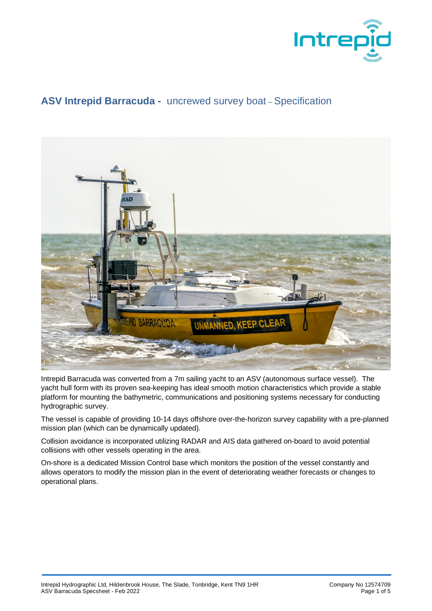

## **ASV Intrepid Barracuda -** uncrewed survey boat – Specification



Intrepid Barracuda was converted from a 7m sailing yacht to an ASV (autonomous surface vessel). The yacht hull form with its proven sea-keeping has ideal smooth motion characteristics which provide a stable platform for mounting the bathymetric, communications and positioning systems necessary for conducting hydrographic survey.

The vessel is capable of providing 10-14 days offshore over-the-horizon survey capability with a pre-planned mission plan (which can be dynamically updated).

Collision avoidance is incorporated utilizing RADAR and AIS data gathered on-board to avoid potential collisions with other vessels operating in the area.

On-shore is a dedicated Mission Control base which monitors the position of the vessel constantly and allows operators to modify the mission plan in the event of deteriorating weather forecasts or changes to operational plans.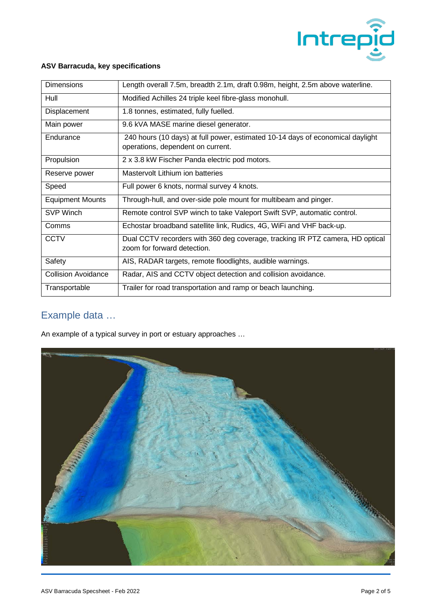

## **ASV Barracuda, key specifications**

| <b>Dimensions</b>          | Length overall 7.5m, breadth 2.1m, draft 0.98m, height, 2.5m above waterline.                                       |
|----------------------------|---------------------------------------------------------------------------------------------------------------------|
| Hull                       | Modified Achilles 24 triple keel fibre-glass monohull.                                                              |
| <b>Displacement</b>        | 1.8 tonnes, estimated, fully fuelled.                                                                               |
| Main power                 | 9.6 kVA MASE marine diesel generator.                                                                               |
| Endurance                  | 240 hours (10 days) at full power, estimated 10-14 days of economical daylight<br>operations, dependent on current. |
| Propulsion                 | 2 x 3.8 kW Fischer Panda electric pod motors.                                                                       |
| Reserve power              | Mastervolt Lithium ion batteries                                                                                    |
| Speed                      | Full power 6 knots, normal survey 4 knots.                                                                          |
| <b>Equipment Mounts</b>    | Through-hull, and over-side pole mount for multibeam and pinger.                                                    |
| SVP Winch                  | Remote control SVP winch to take Valeport Swift SVP, automatic control.                                             |
| Comms                      | Echostar broadband satellite link, Rudics, 4G, WiFi and VHF back-up.                                                |
| <b>CCTV</b>                | Dual CCTV recorders with 360 deg coverage, tracking IR PTZ camera, HD optical<br>zoom for forward detection.        |
| Safety                     | AIS, RADAR targets, remote floodlights, audible warnings.                                                           |
| <b>Collision Avoidance</b> | Radar, AIS and CCTV object detection and collision avoidance.                                                       |
| Transportable              | Trailer for road transportation and ramp or beach launching.                                                        |

## Example data …

An example of a typical survey in port or estuary approaches …

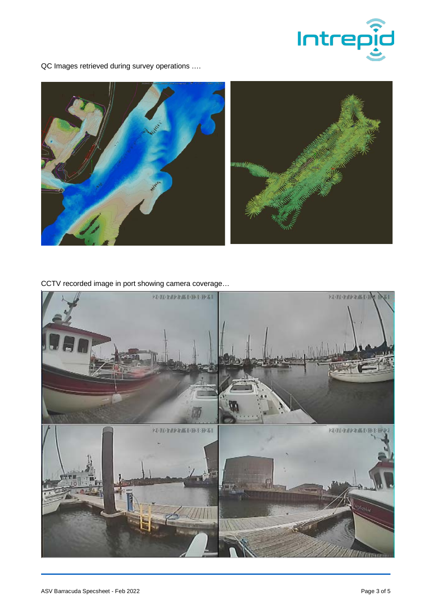

QC Images retrieved during survey operations ….



CCTV recorded image in port showing camera coverage…

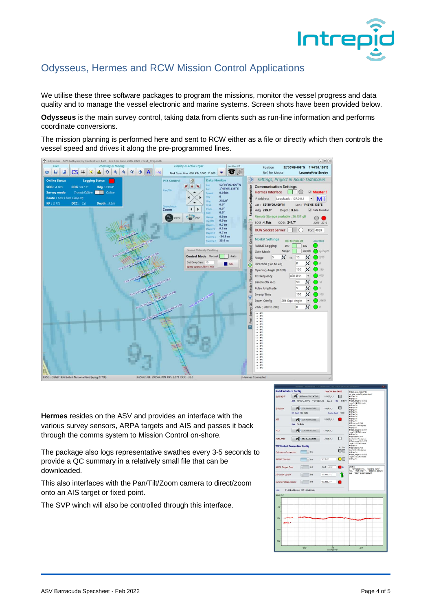

## Odysseus, Hermes and RCW Mission Control Applications

We utilise these three software packages to program the missions, monitor the vessel progress and data quality and to manage the vessel electronic and marine systems. Screen shots have been provided below.

**Odysseus** is the main survey control, taking data from clients such as run-line information and performs coordinate conversions.

The mission planning is performed here and sent to RCW either as a file or directly which then controls the vessel speed and drives it along the pre-programmed lines.



**Hermes** resides on the ASV and provides an interface with the various survey sensors, ARPA targets and AIS and passes it back through the comms system to Mission Control on-shore.

The package also logs representative swathes every 3-5 seconds to provide a QC summary in a relatively small file that can be downloaded.

This also interfaces with the Pan/Tilt/Zoom camera to direct/zoom onto an AIS target or fixed point.

The SVP winch will also be controlled through this interface.